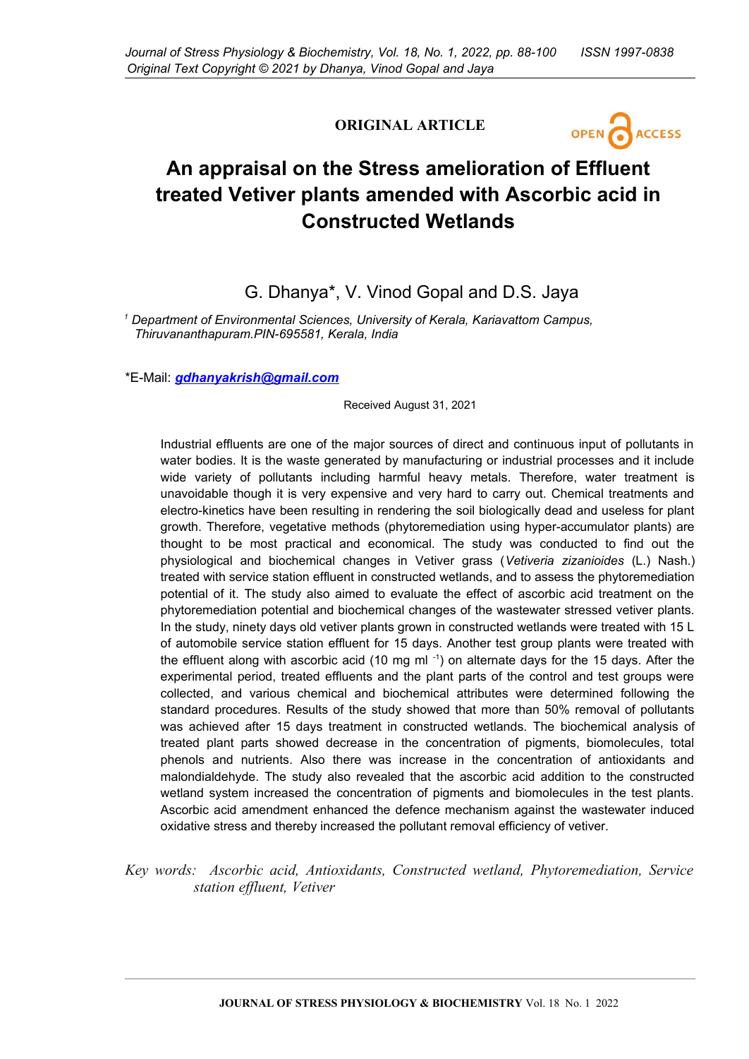# **ORIGINAL ARTICLE**



# **An appraisal on the Stress amelioration of Effluent treated Vetiver plants amended with Ascorbic acid in Constructed Wetlands**

# G. Dhanya\*, V. Vinod Gopal and D.S. Jaya

*1 Department of Environmental Sciences, University of Kerala, Kariavattom Campus, Thiruvananthapuram.PIN-695581, Kerala, India* 

\*E-Mail: *[gdhanyakrish@gmail.com](mailto:gdhanyakrish@gmail.com)*

Received August 31, 2021

Industrial effluents are one of the major sources of direct and continuous input of pollutants in water bodies. It is the waste generated by manufacturing or industrial processes and it include wide variety of pollutants including harmful heavy metals. Therefore, water treatment is unavoidable though it is very expensive and very hard to carry out. Chemical treatments and electro-kinetics have been resulting in rendering the soil biologically dead and useless for plant growth. Therefore, vegetative methods (phytoremediation using hyper-accumulator plants) are thought to be most practical and economical. The study was conducted to find out the physiological and biochemical changes in Vetiver grass (*Vetiveria zizanioides* (L.) Nash.) treated with service station effluent in constructed wetlands, and to assess the phytoremediation potential of it. The study also aimed to evaluate the effect of ascorbic acid treatment on the phytoremediation potential and biochemical changes of the wastewater stressed vetiver plants. In the study, ninety days old vetiver plants grown in constructed wetlands were treated with 15 L of automobile service station effluent for 15 days. Another test group plants were treated with the effluent along with ascorbic acid (10 mg ml $^{-1}$ ) on alternate days for the 15 days. After the experimental period, treated effluents and the plant parts of the control and test groups were collected, and various chemical and biochemical attributes were determined following the standard procedures. Results of the study showed that more than 50% removal of pollutants was achieved after 15 days treatment in constructed wetlands. The biochemical analysis of treated plant parts showed decrease in the concentration of pigments, biomolecules, total phenols and nutrients. Also there was increase in the concentration of antioxidants and malondialdehyde. The study also revealed that the ascorbic acid addition to the constructed wetland system increased the concentration of pigments and biomolecules in the test plants. Ascorbic acid amendment enhanced the defence mechanism against the wastewater induced oxidative stress and thereby increased the pollutant removal efficiency of vetiver.

*Key words: Ascorbic acid, Antioxidants, Constructed wetland, Phytoremediation, Service station effluent, Vetiver*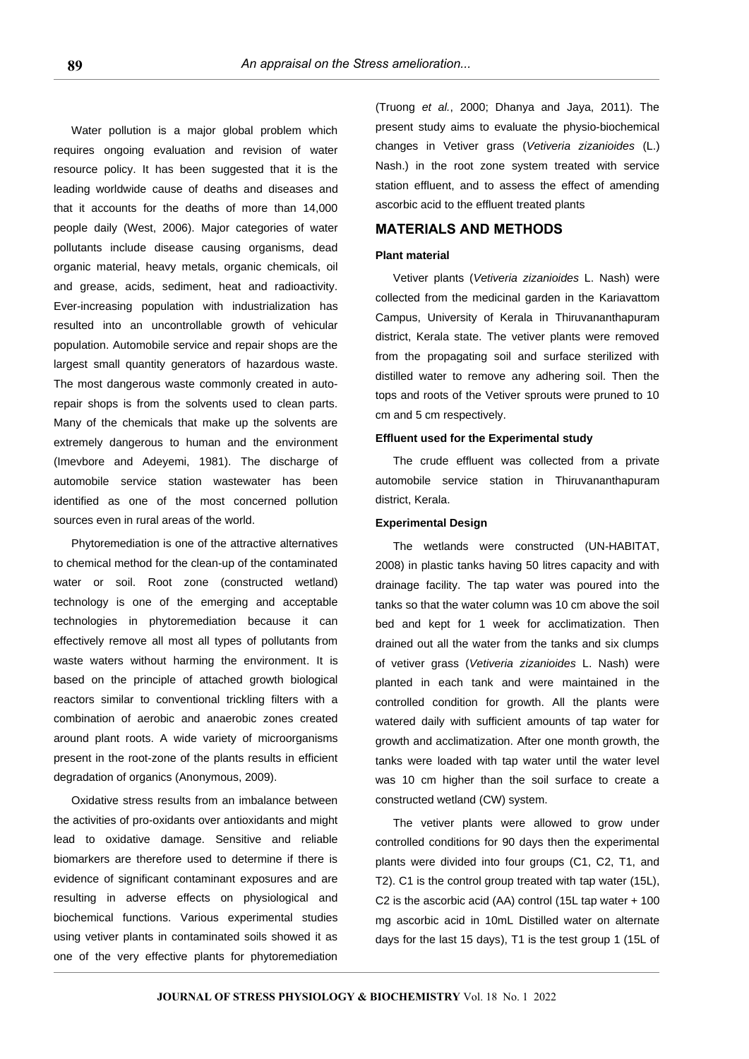Water pollution is a major global problem which requires ongoing evaluation and revision of water resource policy. It has been suggested that it is the leading worldwide cause of deaths and diseases and that it accounts for the deaths of more than 14,000 people daily (West, 2006). Major categories of water pollutants include disease causing organisms, dead organic material, heavy metals, organic chemicals, oil and grease, acids, sediment, heat and radioactivity. Ever-increasing population with industrialization has resulted into an uncontrollable growth of vehicular population. Automobile service and repair shops are the largest small quantity generators of hazardous waste. The most dangerous waste commonly created in autorepair shops is from the solvents used to clean parts. Many of the chemicals that make up the solvents are extremely dangerous to human and the environment (Imevbore and Adeyemi, 1981). The discharge of automobile service station wastewater has been identified as one of the most concerned pollution sources even in rural areas of the world.

Phytoremediation is one of the attractive alternatives to chemical method for the clean-up of the contaminated water or soil. Root zone (constructed wetland) technology is one of the emerging and acceptable technologies in phytoremediation because it can effectively remove all most all types of pollutants from waste waters without harming the environment. It is based on the principle of attached growth biological reactors similar to conventional trickling filters with a combination of aerobic and anaerobic zones created around plant roots. A wide variety of microorganisms present in the root-zone of the plants results in efficient degradation of organics (Anonymous, 2009).

Oxidative stress results from an imbalance between the activities of pro-oxidants over antioxidants and might lead to oxidative damage. Sensitive and reliable biomarkers are therefore used to determine if there is evidence of significant contaminant exposures and are resulting in adverse effects on physiological and biochemical functions. Various experimental studies using vetiver plants in contaminated soils showed it as one of the very effective plants for phytoremediation

(Truong *et al.*, 2000; Dhanya and Jaya, 2011). The present study aims to evaluate the physio-biochemical changes in Vetiver grass (*Vetiveria zizanioides* (L.) Nash.) in the root zone system treated with service station effluent, and to assess the effect of amending ascorbic acid to the effluent treated plants

# **MATERIALS AND METHODS**

#### **Plant material**

Vetiver plants (*Vetiveria zizanioides* L. Nash) were collected from the medicinal garden in the Kariavattom Campus, University of Kerala in Thiruvananthapuram district, Kerala state. The vetiver plants were removed from the propagating soil and surface sterilized with distilled water to remove any adhering soil. Then the tops and roots of the Vetiver sprouts were pruned to 10 cm and 5 cm respectively.

#### **Effluent used for the Experimental study**

The crude effluent was collected from a private automobile service station in Thiruvananthapuram district, Kerala.

#### **Experimental Design**

The wetlands were constructed (UN-HABITAT, 2008) in plastic tanks having 50 litres capacity and with drainage facility. The tap water was poured into the tanks so that the water column was 10 cm above the soil bed and kept for 1 week for acclimatization. Then drained out all the water from the tanks and six clumps of vetiver grass (*Vetiveria zizanioides* L. Nash) were planted in each tank and were maintained in the controlled condition for growth. All the plants were watered daily with sufficient amounts of tap water for growth and acclimatization. After one month growth, the tanks were loaded with tap water until the water level was 10 cm higher than the soil surface to create a constructed wetland (CW) system.

The vetiver plants were allowed to grow under controlled conditions for 90 days then the experimental plants were divided into four groups (C1, C2, T1, and T2). C1 is the control group treated with tap water (15L), C2 is the ascorbic acid (AA) control (15L tap water + 100 mg ascorbic acid in 10mL Distilled water on alternate days for the last 15 days), T1 is the test group 1 (15L of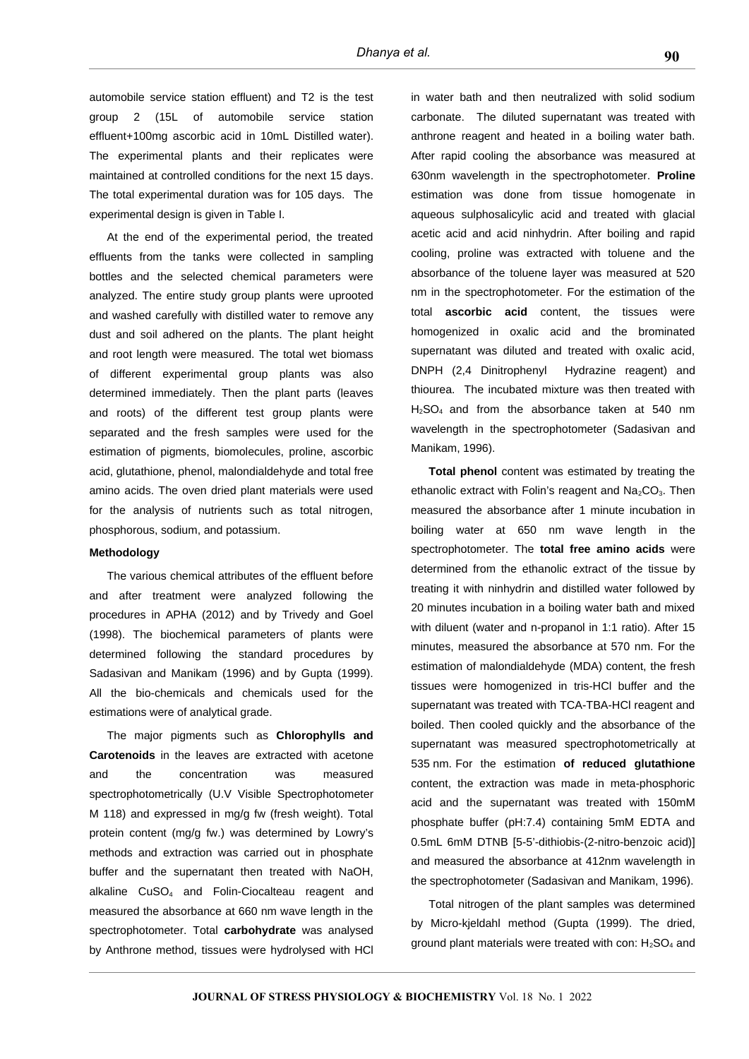automobile service station effluent) and T2 is the test group 2 (15L of automobile service station effluent+100mg ascorbic acid in 10mL Distilled water). The experimental plants and their replicates were maintained at controlled conditions for the next 15 days. The total experimental duration was for 105 days. The experimental design is given in Table I.

At the end of the experimental period, the treated effluents from the tanks were collected in sampling bottles and the selected chemical parameters were analyzed. The entire study group plants were uprooted and washed carefully with distilled water to remove any dust and soil adhered on the plants. The plant height and root length were measured. The total wet biomass of different experimental group plants was also determined immediately. Then the plant parts (leaves and roots) of the different test group plants were separated and the fresh samples were used for the estimation of pigments, biomolecules, proline, ascorbic acid, glutathione, phenol, malondialdehyde and total free amino acids. The oven dried plant materials were used for the analysis of nutrients such as total nitrogen, phosphorous, sodium, and potassium.

#### **Methodology**

The various chemical attributes of the effluent before and after treatment were analyzed following the procedures in APHA (2012) and by Trivedy and Goel (1998). The biochemical parameters of plants were determined following the standard procedures by Sadasivan and Manikam (1996) and by Gupta (1999). All the bio-chemicals and chemicals used for the estimations were of analytical grade.

The major pigments such as **Chlorophylls and Carotenoids** in the leaves are extracted with acetone and the concentration was measured spectrophotometrically (U.V Visible Spectrophotometer M 118) and expressed in mg/g fw (fresh weight). Total protein content (mg/g fw.) was determined by Lowry's methods and extraction was carried out in phosphate buffer and the supernatant then treated with NaOH, alkaline CuSO4 and Folin-Ciocalteau reagent and measured the absorbance at 660 nm wave length in the spectrophotometer. Total **carbohydrate** was analysed by Anthrone method, tissues were hydrolysed with HCl in water bath and then neutralized with solid sodium carbonate. The diluted supernatant was treated with anthrone reagent and heated in a boiling water bath. After rapid cooling the absorbance was measured at 630nm wavelength in the spectrophotometer. **Proline** estimation was done from tissue homogenate in aqueous sulphosalicylic acid and treated with glacial acetic acid and acid ninhydrin. After boiling and rapid cooling, proline was extracted with toluene and the absorbance of the toluene layer was measured at 520 nm in the spectrophotometer. For the estimation of the total **ascorbic acid** content, the tissues were homogenized in oxalic acid and the brominated supernatant was diluted and treated with oxalic acid, DNPH (2,4 Dinitrophenyl Hydrazine reagent) and thiourea. The incubated mixture was then treated with H2SO4 and from the absorbance taken at 540 nm wavelength in the spectrophotometer (Sadasivan and Manikam, 1996).

**Total phenol** content was estimated by treating the ethanolic extract with Folin's reagent and  $Na<sub>2</sub>CO<sub>3</sub>$ . Then measured the absorbance after 1 minute incubation in boiling water at 650 nm wave length in the spectrophotometer. The **total free amino acids** were determined from the ethanolic extract of the tissue by treating it with ninhydrin and distilled water followed by 20 minutes incubation in a boiling water bath and mixed with diluent (water and n-propanol in 1:1 ratio). After 15 minutes, measured the absorbance at 570 nm. For the estimation of malondialdehyde (MDA) content, the fresh tissues were homogenized in tris-HCl buffer and the supernatant was treated with TCA-TBA-HCl reagent and boiled. Then cooled quickly and the absorbance of the supernatant was measured spectrophotometrically at 535 nm. For the estimation **of reduced glutathione** content, the extraction was made in meta-phosphoric acid and the supernatant was treated with 150mM phosphate buffer (pH:7.4) containing 5mM EDTA and 0.5mL 6mM DTNB [5-5'-dithiobis-(2-nitro-benzoic acid)] and measured the absorbance at 412nm wavelength in the spectrophotometer (Sadasivan and Manikam, 1996).

Total nitrogen of the plant samples was determined by Micro-kjeldahl method (Gupta (1999). The dried, ground plant materials were treated with con:  $H_2SO_4$  and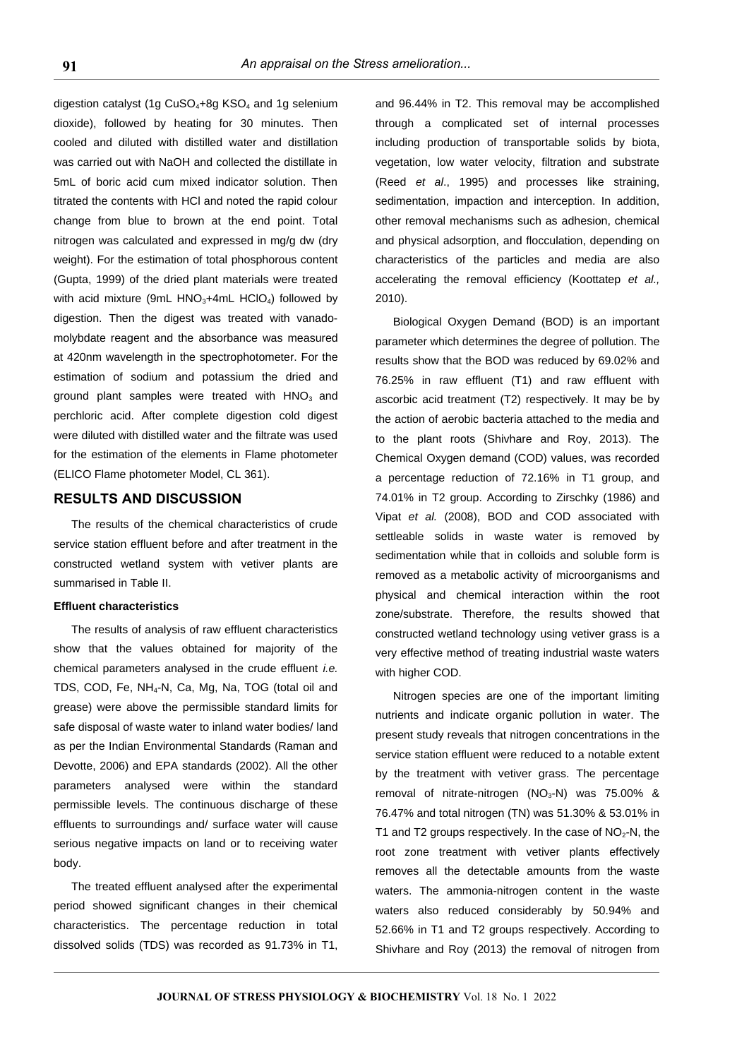digestion catalyst (1g  $CuSO<sub>4</sub>+8g$  KSO<sub>4</sub> and 1g selenium dioxide), followed by heating for 30 minutes. Then cooled and diluted with distilled water and distillation was carried out with NaOH and collected the distillate in 5mL of boric acid cum mixed indicator solution. Then titrated the contents with HCl and noted the rapid colour change from blue to brown at the end point. Total nitrogen was calculated and expressed in mg/g dw (dry weight). For the estimation of total phosphorous content (Gupta, 1999) of the dried plant materials were treated with acid mixture (9mL  $HNO<sub>3</sub>+4mL HClO<sub>4</sub>$ ) followed by digestion. Then the digest was treated with vanadomolybdate reagent and the absorbance was measured at 420nm wavelength in the spectrophotometer. For the estimation of sodium and potassium the dried and ground plant samples were treated with  $HNO<sub>3</sub>$  and perchloric acid. After complete digestion cold digest were diluted with distilled water and the filtrate was used for the estimation of the elements in Flame photometer (ELICO Flame photometer Model, CL 361).

### **RESULTS AND DISCUSSION**

The results of the chemical characteristics of crude service station effluent before and after treatment in the constructed wetland system with vetiver plants are summarised in Table II.

#### **Effluent characteristics**

The results of analysis of raw effluent characteristics show that the values obtained for majority of the chemical parameters analysed in the crude effluent *i.e.* TDS, COD, Fe, NH4-N, Ca, Mg, Na, TOG (total oil and grease) were above the permissible standard limits for safe disposal of waste water to inland water bodies/ land as per the Indian Environmental Standards (Raman and Devotte, 2006) and EPA standards (2002). All the other parameters analysed were within the standard permissible levels. The continuous discharge of these effluents to surroundings and/ surface water will cause serious negative impacts on land or to receiving water body.

The treated effluent analysed after the experimental period showed significant changes in their chemical characteristics. The percentage reduction in total dissolved solids (TDS) was recorded as 91.73% in T1, and 96.44% in T2. This removal may be accomplished through a complicated set of internal processes including production of transportable solids by biota, vegetation, low water velocity, filtration and substrate (Reed *et al*., 1995) and processes like straining, sedimentation, impaction and interception. In addition, other removal mechanisms such as adhesion, chemical and physical adsorption, and flocculation, depending on characteristics of the particles and media are also accelerating the removal efficiency (Koottatep *et al.,* 2010).

Biological Oxygen Demand (BOD) is an important parameter which determines the degree of pollution. The results show that the BOD was reduced by 69.02% and 76.25% in raw effluent (T1) and raw effluent with ascorbic acid treatment (T2) respectively. It may be by the action of aerobic bacteria attached to the media and to the plant roots (Shivhare and Roy, 2013). The Chemical Oxygen demand (COD) values, was recorded a percentage reduction of 72.16% in T1 group, and 74.01% in T2 group. According to Zirschky (1986) and Vipat *et al.* (2008), BOD and COD associated with settleable solids in waste water is removed by sedimentation while that in colloids and soluble form is removed as a metabolic activity of microorganisms and physical and chemical interaction within the root zone/substrate. Therefore, the results showed that constructed wetland technology using vetiver grass is a very effective method of treating industrial waste waters with higher COD.

Nitrogen species are one of the important limiting nutrients and indicate organic pollution in water. The present study reveals that nitrogen concentrations in the service station effluent were reduced to a notable extent by the treatment with vetiver grass. The percentage removal of nitrate-nitrogen (NO $_3$ -N) was 75.00% & 76.47% and total nitrogen (TN) was 51.30% & 53.01% in T1 and T2 groups respectively. In the case of  $NO<sub>2</sub>$ -N, the root zone treatment with vetiver plants effectively removes all the detectable amounts from the waste waters. The ammonia-nitrogen content in the waste waters also reduced considerably by 50.94% and 52.66% in T1 and T2 groups respectively. According to Shivhare and Roy (2013) the removal of nitrogen from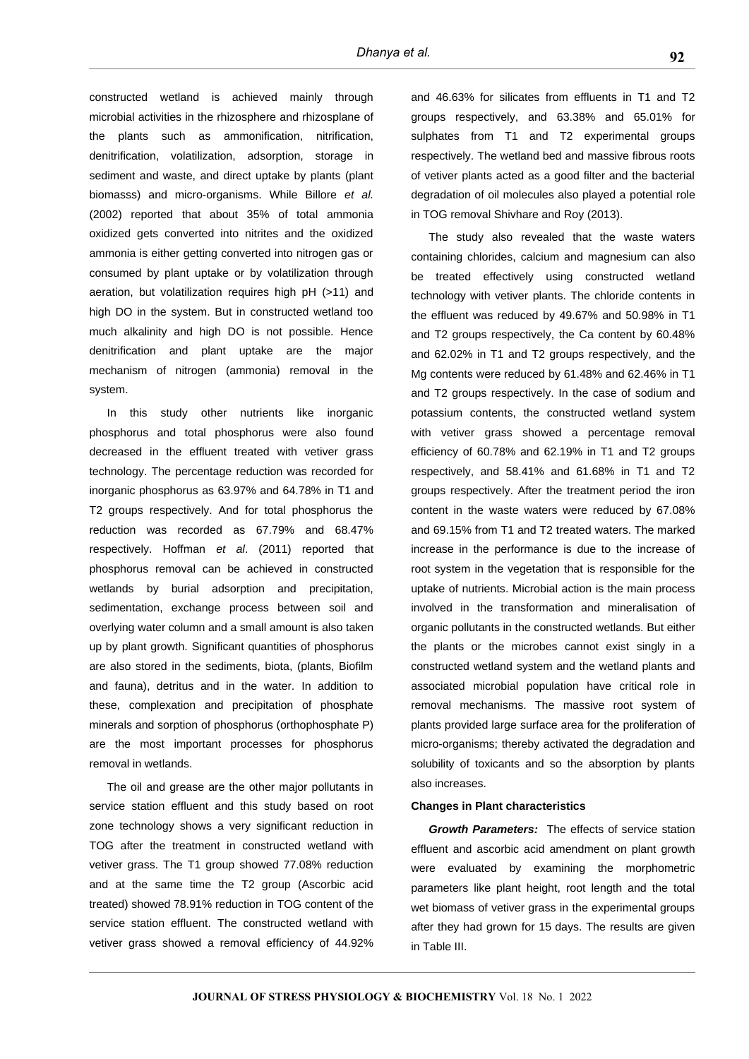constructed wetland is achieved mainly through microbial activities in the rhizosphere and rhizosplane of the plants such as ammonification, nitrification, denitrification, volatilization, adsorption, storage in sediment and waste, and direct uptake by plants (plant biomasss) and micro-organisms. While Billore *et al.* (2002) reported that about 35% of total ammonia oxidized gets converted into nitrites and the oxidized ammonia is either getting converted into nitrogen gas or consumed by plant uptake or by volatilization through aeration, but volatilization requires high pH (>11) and high DO in the system. But in constructed wetland too much alkalinity and high DO is not possible. Hence denitrification and plant uptake are the major mechanism of nitrogen (ammonia) removal in the system.

In this study other nutrients like inorganic phosphorus and total phosphorus were also found decreased in the effluent treated with vetiver grass technology. The percentage reduction was recorded for inorganic phosphorus as 63.97% and 64.78% in T1 and T2 groups respectively. And for total phosphorus the reduction was recorded as 67.79% and 68.47% respectively. Hoffman *et al*. (2011) reported that phosphorus removal can be achieved in constructed wetlands by burial adsorption and precipitation, sedimentation, exchange process between soil and overlying water column and a small amount is also taken up by plant growth. Significant quantities of phosphorus are also stored in the sediments, biota, (plants, Biofilm and fauna), detritus and in the water. In addition to these, complexation and precipitation of phosphate minerals and sorption of phosphorus (orthophosphate P) are the most important processes for phosphorus removal in wetlands.

The oil and grease are the other major pollutants in service station effluent and this study based on root zone technology shows a very significant reduction in TOG after the treatment in constructed wetland with vetiver grass. The T1 group showed 77.08% reduction and at the same time the T2 group (Ascorbic acid treated) showed 78.91% reduction in TOG content of the service station effluent. The constructed wetland with vetiver grass showed a removal efficiency of 44.92% and 46.63% for silicates from effluents in T1 and T2 groups respectively, and 63.38% and 65.01% for sulphates from T1 and T2 experimental groups respectively. The wetland bed and massive fibrous roots of vetiver plants acted as a good filter and the bacterial degradation of oil molecules also played a potential role in TOG removal Shivhare and Roy (2013).

The study also revealed that the waste waters containing chlorides, calcium and magnesium can also be treated effectively using constructed wetland technology with vetiver plants. The chloride contents in the effluent was reduced by 49.67% and 50.98% in T1 and T2 groups respectively, the Ca content by 60.48% and 62.02% in T1 and T2 groups respectively, and the Mg contents were reduced by 61.48% and 62.46% in T1 and T2 groups respectively. In the case of sodium and potassium contents, the constructed wetland system with vetiver grass showed a percentage removal efficiency of 60.78% and 62.19% in T1 and T2 groups respectively, and 58.41% and 61.68% in T1 and T2 groups respectively. After the treatment period the iron content in the waste waters were reduced by 67.08% and 69.15% from T1 and T2 treated waters. The marked increase in the performance is due to the increase of root system in the vegetation that is responsible for the uptake of nutrients. Microbial action is the main process involved in the transformation and mineralisation of organic pollutants in the constructed wetlands. But either the plants or the microbes cannot exist singly in a constructed wetland system and the wetland plants and associated microbial population have critical role in removal mechanisms. The massive root system of plants provided large surface area for the proliferation of micro-organisms; thereby activated the degradation and solubility of toxicants and so the absorption by plants also increases.

# **Changes in Plant characteristics**

*Growth Parameters:* The effects of service station effluent and ascorbic acid amendment on plant growth were evaluated by examining the morphometric parameters like plant height, root length and the total wet biomass of vetiver grass in the experimental groups after they had grown for 15 days. The results are given in Table III.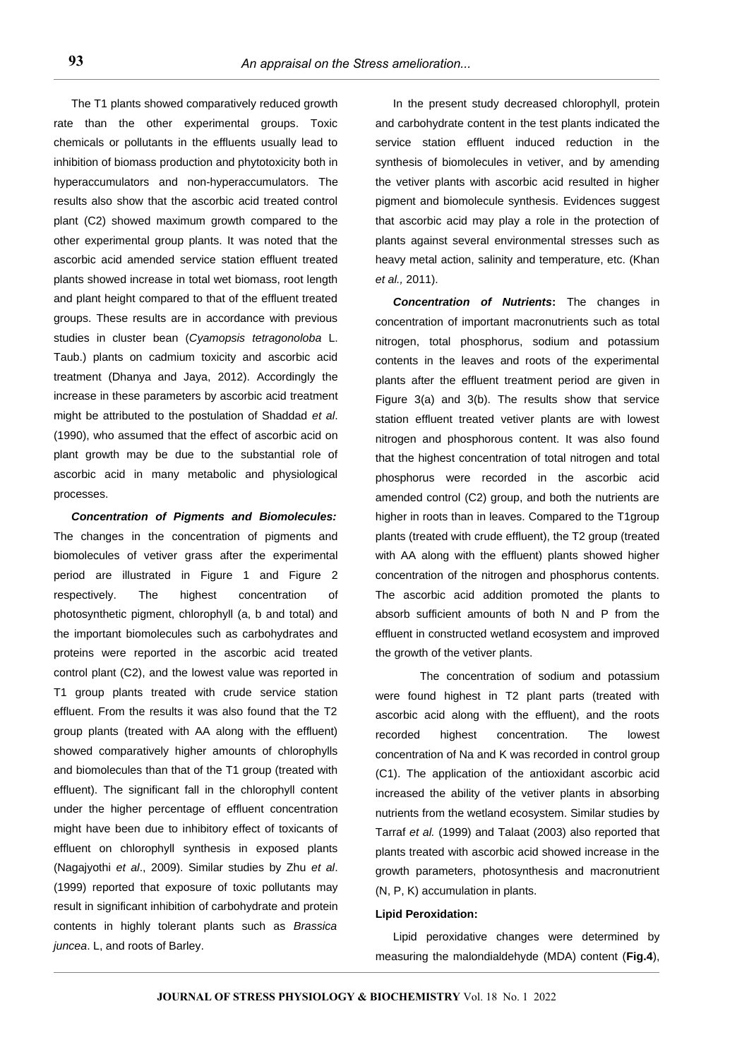The T1 plants showed comparatively reduced growth rate than the other experimental groups. Toxic chemicals or pollutants in the effluents usually lead to inhibition of biomass production and phytotoxicity both in hyperaccumulators and non-hyperaccumulators. The results also show that the ascorbic acid treated control plant (C2) showed maximum growth compared to the other experimental group plants. It was noted that the ascorbic acid amended service station effluent treated plants showed increase in total wet biomass, root length and plant height compared to that of the effluent treated groups. These results are in accordance with previous studies in cluster bean (*Cyamopsis tetragonoloba* L. Taub.) plants on cadmium toxicity and ascorbic acid treatment (Dhanya and Jaya, 2012). Accordingly the increase in these parameters by ascorbic acid treatment might be attributed to the postulation of Shaddad *et al*. (1990), who assumed that the effect of ascorbic acid on plant growth may be due to the substantial role of ascorbic acid in many metabolic and physiological processes.

*Concentration of Pigments and Biomolecules:* The changes in the concentration of pigments and biomolecules of vetiver grass after the experimental period are illustrated in Figure 1 and Figure 2 respectively. The highest concentration of photosynthetic pigment, chlorophyll (a, b and total) and the important biomolecules such as carbohydrates and proteins were reported in the ascorbic acid treated control plant (C2), and the lowest value was reported in T1 group plants treated with crude service station effluent. From the results it was also found that the T2 group plants (treated with AA along with the effluent) showed comparatively higher amounts of chlorophylls and biomolecules than that of the T1 group (treated with effluent). The significant fall in the chlorophyll content under the higher percentage of effluent concentration might have been due to inhibitory effect of toxicants of effluent on chlorophyll synthesis in exposed plants (Nagajyothi *et al*., 2009). Similar studies by Zhu *et al*. (1999) reported that exposure of toxic pollutants may result in significant inhibition of carbohydrate and protein contents in highly tolerant plants such as *Brassica juncea*. L, and roots of Barley.

In the present study decreased chlorophyll, protein and carbohydrate content in the test plants indicated the service station effluent induced reduction in the synthesis of biomolecules in vetiver, and by amending the vetiver plants with ascorbic acid resulted in higher pigment and biomolecule synthesis. Evidences suggest that ascorbic acid may play a role in the protection of plants against several environmental stresses such as heavy metal action, salinity and temperature, etc. (Khan *et al.,* 2011).

*Concentration of Nutrients***:** The changes in concentration of important macronutrients such as total nitrogen, total phosphorus, sodium and potassium contents in the leaves and roots of the experimental plants after the effluent treatment period are given in Figure 3(a) and 3(b). The results show that service station effluent treated vetiver plants are with lowest nitrogen and phosphorous content. It was also found that the highest concentration of total nitrogen and total phosphorus were recorded in the ascorbic acid amended control (C2) group, and both the nutrients are higher in roots than in leaves. Compared to the T1group plants (treated with crude effluent), the T2 group (treated with AA along with the effluent) plants showed higher concentration of the nitrogen and phosphorus contents. The ascorbic acid addition promoted the plants to absorb sufficient amounts of both N and P from the effluent in constructed wetland ecosystem and improved the growth of the vetiver plants.

The concentration of sodium and potassium were found highest in T2 plant parts (treated with ascorbic acid along with the effluent), and the roots recorded highest concentration. The lowest concentration of Na and K was recorded in control group (C1). The application of the antioxidant ascorbic acid increased the ability of the vetiver plants in absorbing nutrients from the wetland ecosystem. Similar studies by Tarraf *et al.* (1999) and Talaat (2003) also reported that plants treated with ascorbic acid showed increase in the growth parameters, photosynthesis and macronutrient (N, P, K) accumulation in plants.

#### **Lipid Peroxidation:**

Lipid peroxidative changes were determined by measuring the malondialdehyde (MDA) content (**Fig.4**),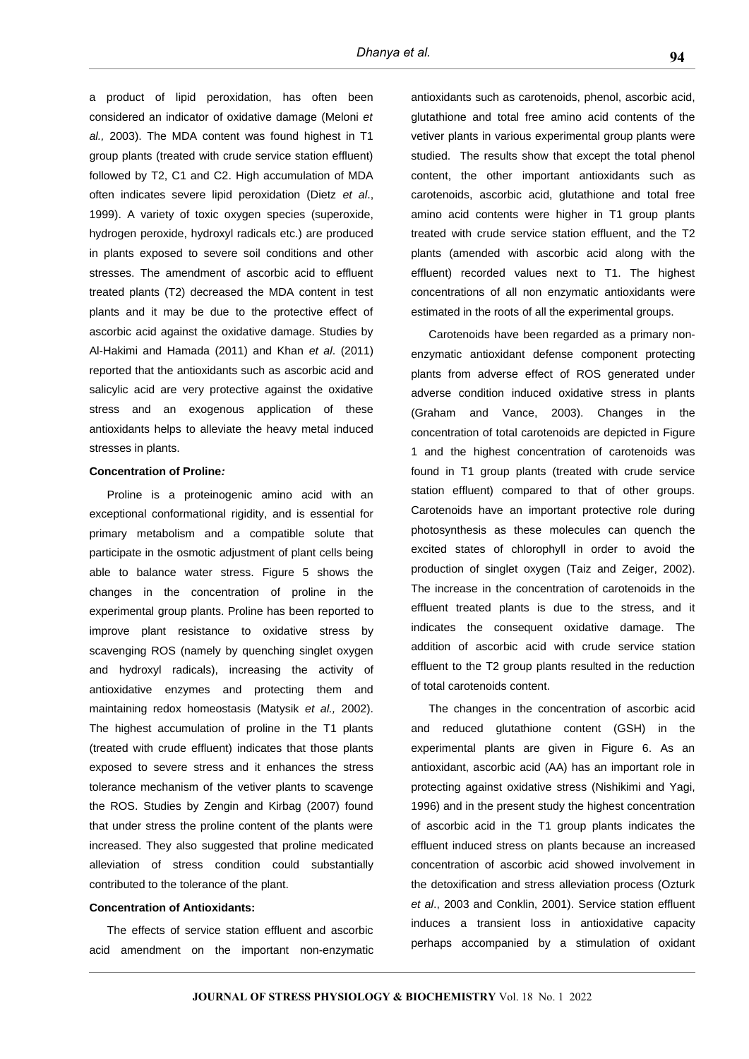a product of lipid peroxidation, has often been considered an indicator of oxidative damage (Meloni *et al.,* 2003). The MDA content was found highest in T1 group plants (treated with crude service station effluent) followed by T2, C1 and C2. High accumulation of MDA often indicates severe lipid peroxidation (Dietz *et al*., 1999). A variety of toxic oxygen species (superoxide, hydrogen peroxide, hydroxyl radicals etc.) are produced in plants exposed to severe soil conditions and other stresses. The amendment of ascorbic acid to effluent treated plants (T2) decreased the MDA content in test plants and it may be due to the protective effect of ascorbic acid against the oxidative damage. Studies by Al-Hakimi and Hamada (2011) and Khan *et al*. (2011) reported that the antioxidants such as ascorbic acid and salicylic acid are very protective against the oxidative stress and an exogenous application of these antioxidants helps to alleviate the heavy metal induced stresses in plants.

#### **Concentration of Proline***:*

Proline is a proteinogenic amino acid with an exceptional conformational rigidity, and is essential for primary metabolism and a compatible solute that participate in the osmotic adjustment of plant cells being able to balance water stress. Figure 5 shows the changes in the concentration of proline in the experimental group plants. Proline has been reported to improve plant resistance to oxidative stress by scavenging ROS (namely by quenching singlet oxygen and hydroxyl radicals), increasing the activity of antioxidative enzymes and protecting them and maintaining redox homeostasis (Matysik *et al.,* 2002). The highest accumulation of proline in the T1 plants (treated with crude effluent) indicates that those plants exposed to severe stress and it enhances the stress tolerance mechanism of the vetiver plants to scavenge the ROS. Studies by Zengin and Kirbag (2007) found that under stress the proline content of the plants were increased. They also suggested that proline medicated alleviation of stress condition could substantially contributed to the tolerance of the plant.

#### **Concentration of Antioxidants:**

The effects of service station effluent and ascorbic acid amendment on the important non-enzymatic antioxidants such as carotenoids, phenol, ascorbic acid, glutathione and total free amino acid contents of the vetiver plants in various experimental group plants were studied. The results show that except the total phenol content, the other important antioxidants such as carotenoids, ascorbic acid, glutathione and total free amino acid contents were higher in T1 group plants treated with crude service station effluent, and the T2 plants (amended with ascorbic acid along with the effluent) recorded values next to T1. The highest concentrations of all non enzymatic antioxidants were estimated in the roots of all the experimental groups.

Carotenoids have been regarded as a primary nonenzymatic antioxidant defense component protecting plants from adverse effect of ROS generated under adverse condition induced oxidative stress in plants (Graham and Vance, 2003). Changes in the concentration of total carotenoids are depicted in Figure 1 and the highest concentration of carotenoids was found in T1 group plants (treated with crude service station effluent) compared to that of other groups. Carotenoids have an important protective role during photosynthesis as these molecules can quench the excited states of chlorophyll in order to avoid the production of singlet oxygen (Taiz and Zeiger, 2002). The increase in the concentration of carotenoids in the effluent treated plants is due to the stress, and it indicates the consequent oxidative damage. The addition of ascorbic acid with crude service station effluent to the T2 group plants resulted in the reduction of total carotenoids content.

The changes in the concentration of ascorbic acid and reduced glutathione content (GSH) in the experimental plants are given in Figure 6. As an antioxidant, ascorbic acid (AA) has an important role in protecting against oxidative stress (Nishikimi and Yagi, 1996) and in the present study the highest concentration of ascorbic acid in the T1 group plants indicates the effluent induced stress on plants because an increased concentration of ascorbic acid showed involvement in the detoxification and stress alleviation process (Ozturk *et al*., 2003 and Conklin, 2001). Service station effluent induces a transient loss in antioxidative capacity perhaps accompanied by a stimulation of oxidant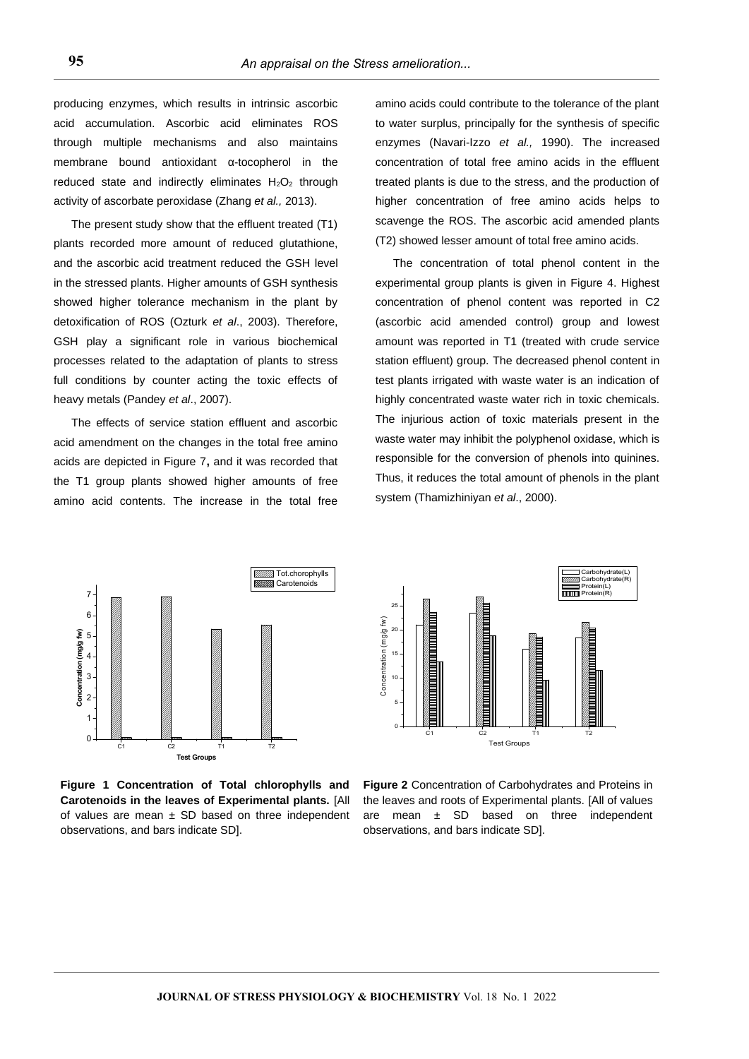producing enzymes, which results in intrinsic ascorbic acid accumulation. Ascorbic acid eliminates ROS through multiple mechanisms and also maintains membrane bound antioxidant α-tocopherol in the reduced state and indirectly eliminates  $H_2O_2$  through activity of ascorbate peroxidase (Zhang *et al.,* 2013).

The present study show that the effluent treated (T1) plants recorded more amount of reduced glutathione, and the ascorbic acid treatment reduced the GSH level in the stressed plants. Higher amounts of GSH synthesis showed higher tolerance mechanism in the plant by detoxification of ROS (Ozturk *et al*., 2003). Therefore, GSH play a significant role in various biochemical processes related to the adaptation of plants to stress full conditions by counter acting the toxic effects of heavy metals (Pandey *et al*., 2007).

The effects of service station effluent and ascorbic acid amendment on the changes in the total free amino acids are depicted in Figure 7**,** and it was recorded that the T1 group plants showed higher amounts of free amino acid contents. The increase in the total free amino acids could contribute to the tolerance of the plant to water surplus, principally for the synthesis of specific enzymes (Navari-Izzo *et al.,* 1990). The increased concentration of total free amino acids in the effluent treated plants is due to the stress, and the production of higher concentration of free amino acids helps to scavenge the ROS. The ascorbic acid amended plants (T2) showed lesser amount of total free amino acids.

The concentration of total phenol content in the experimental group plants is given in Figure 4. Highest concentration of phenol content was reported in C2 (ascorbic acid amended control) group and lowest amount was reported in T1 (treated with crude service station effluent) group. The decreased phenol content in test plants irrigated with waste water is an indication of highly concentrated waste water rich in toxic chemicals. The injurious action of toxic materials present in the waste water may inhibit the polyphenol oxidase, which is responsible for the conversion of phenols into quinines. Thus, it reduces the total amount of phenols in the plant system (Thamizhiniyan *et al*., 2000).



 Carbohydrate(L) Carbohydrate(R) Protein(L) Protein(R) 25 Concentration (mg/g fw) Concentration (mg/g fw) 20 15 10 5 0 C1 C2 T1 T2 Test Groups

**Figure 1 Concentration of Total chlorophylls and Carotenoids in the leaves of Experimental plants.** [All of values are mean  $\pm$  SD based on three independent observations, and bars indicate SD].

**Figure 2** Concentration of Carbohydrates and Proteins in the leaves and roots of Experimental plants. [All of values are mean  $\pm$  SD based on three independent observations, and bars indicate SD].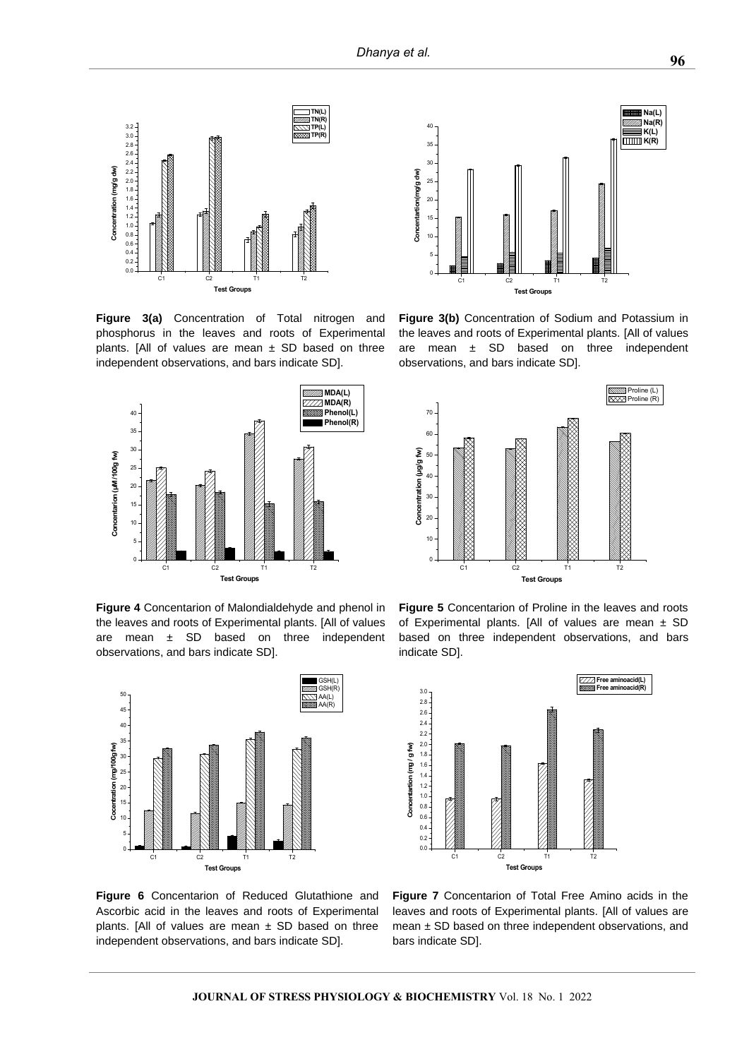35  $40$ 



**Figure 3(a)** Concentration of Total nitrogen and phosphorus in the leaves and roots of Experimental plants. [All of values are mean  $\pm$  SD based on three independent observations, and bars indicate SD].



**Figure 4** Concentarion of Malondialdehyde and phenol in the leaves and roots of Experimental plants. [All of values are mean  $\pm$  SD based on three independent observations, and bars indicate SD].



**Figure 6** Concentarion of Reduced Glutathione and Ascorbic acid in the leaves and roots of Experimental plants. [All of values are mean  $\pm$  SD based on three independent observations, and bars indicate SD].





the leaves and roots of Experimental plants. [All of values are mean  $\pm$  SD based on three independent observations, and bars indicate SD].







**Na(L) Na(R) K(L)**  $\overline{\Box\Box\Box}$  **K(R)**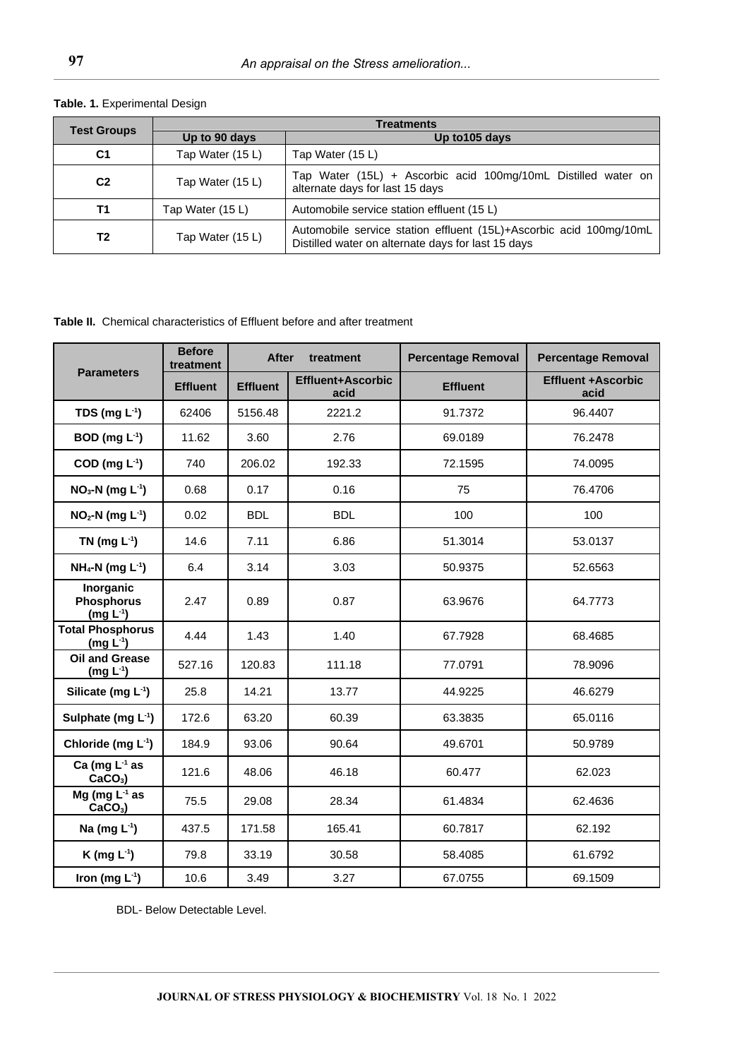|  |  | <b>Table. 1. Experimental Design</b> |  |
|--|--|--------------------------------------|--|
|--|--|--------------------------------------|--|

| <b>Test Groups</b> | <b>Treatments</b> |                                                                                                                          |  |
|--------------------|-------------------|--------------------------------------------------------------------------------------------------------------------------|--|
|                    | Up to 90 days     | Up to 105 days                                                                                                           |  |
| C <sub>1</sub>     | Tap Water (15 L)  | Tap Water (15 L)                                                                                                         |  |
| C <sub>2</sub>     | Tap Water (15 L)  | Tap Water (15L) + Ascorbic acid 100mg/10mL Distilled water on<br>alternate days for last 15 days                         |  |
| Τ1                 | Tap Water (15 L)  | Automobile service station effluent (15 L)                                                                               |  |
| Т2                 | Tap Water (15 L)  | Automobile service station effluent (15L)+Ascorbic acid 100mg/10mL<br>Distilled water on alternate days for last 15 days |  |

**Table II.** Chemical characteristics of Effluent before and after treatment

| <b>Parameters</b>                                | <b>Before</b><br>treatment | After<br>treatment |                                  | <b>Percentage Removal</b> | <b>Percentage Removal</b>         |
|--------------------------------------------------|----------------------------|--------------------|----------------------------------|---------------------------|-----------------------------------|
|                                                  | <b>Effluent</b>            | <b>Effluent</b>    | <b>Effluent+Ascorbic</b><br>acid | <b>Effluent</b>           | <b>Effluent +Ascorbic</b><br>acid |
| TDS (mg $L^{-1}$ )                               | 62406                      | 5156.48            | 2221.2                           | 91.7372                   | 96.4407                           |
| BOD (mg $L^{-1}$ )                               | 11.62                      | 3.60               | 2.76                             | 69.0189                   | 76.2478                           |
| COD (mg $L^{-1}$ )                               | 740                        | 206.02             | 192.33                           | 72.1595                   | 74.0095                           |
| $NO3-N$ (mg L <sup>-1</sup> )                    | 0.68                       | 0.17               | 0.16                             | 75                        | 76.4706                           |
| $NO2-N$ (mg L <sup>-1</sup> )                    | 0.02                       | <b>BDL</b>         | <b>BDL</b>                       | 100                       | 100                               |
| TN (mg $L^{-1}$ )                                | 14.6                       | 7.11               | 6.86                             | 51.3014                   | 53.0137                           |
| $NH_4-N$ (mg $L^{-1}$ )                          | 6.4                        | 3.14               | 3.03                             | 50.9375                   | 52.6563                           |
| Inorganic<br><b>Phosphorus</b><br>(mg $L^{-1}$ ) | 2.47                       | 0.89               | 0.87                             | 63.9676                   | 64.7773                           |
| <b>Total Phosphorus</b><br>(mg $L^{-1}$ )        | 4.44                       | 1.43               | 1.40                             | 67.7928                   | 68.4685                           |
| <b>Oil and Grease</b><br>$(mg L-1)$              | 527.16                     | 120.83             | 111.18                           | 77.0791                   | 78.9096                           |
| Silicate (mg $L^{-1}$ )                          | 25.8                       | 14.21              | 13.77                            | 44.9225                   | 46.6279                           |
| Sulphate (mg $L^{-1}$ )                          | 172.6                      | 63.20              | 60.39                            | 63.3835                   | 65.0116                           |
| Chloride (mg $L^{-1}$ )                          | 184.9                      | 93.06              | 90.64                            | 49.6701                   | 50.9789                           |
| Ca (mg $L^{-1}$ as<br>$CaCO3$ )                  | 121.6                      | 48.06              | 46.18                            | 60.477                    | 62.023                            |
| Mg (mg $L^{-1}$ as<br>$CaCO3$ )                  | 75.5                       | 29.08              | 28.34                            | 61.4834                   | 62.4636                           |
| Na (mg $L^{-1}$ )                                | 437.5                      | 171.58             | 165.41                           | 60.7817                   | 62.192                            |
| K (mg $L^{-1}$ )                                 | 79.8                       | 33.19              | 30.58                            | 58.4085                   | 61.6792                           |
| Iron (mg $L^{-1}$ )                              | 10.6                       | 3.49               | 3.27                             | 67.0755                   | 69.1509                           |

BDL- Below Detectable Level.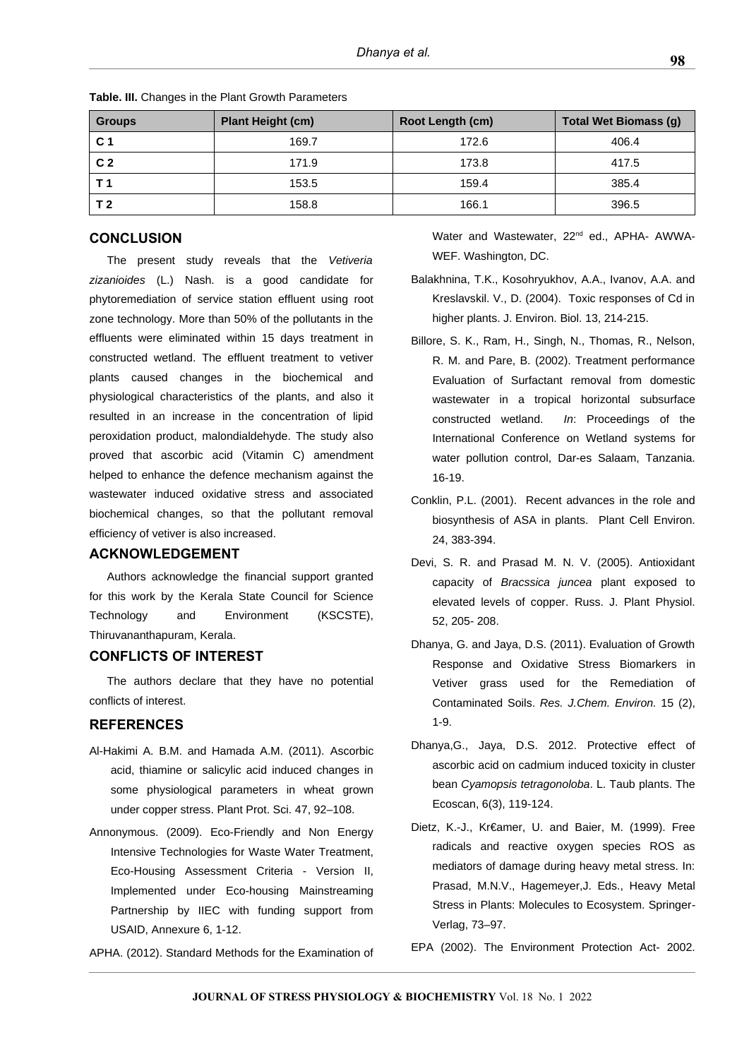| <b>Groups</b>  | <b>Plant Height (cm)</b> | Root Length (cm) | <b>Total Wet Biomass (g)</b> |
|----------------|--------------------------|------------------|------------------------------|
| C <sub>1</sub> | 169.7                    | 172.6            | 406.4                        |
| C <sub>2</sub> | 171.9                    | 173.8            | 417.5                        |
| Т1             | 153.5                    | 159.4            | 385.4                        |
| T 2            | 158.8                    | 166.1            | 396.5                        |

**Table. III.** Changes in the Plant Growth Parameters

# **CONCLUSION**

The present study reveals that the *Vetiveria zizanioides* (L.) Nash. is a good candidate for phytoremediation of service station effluent using root zone technology. More than 50% of the pollutants in the effluents were eliminated within 15 days treatment in constructed wetland. The effluent treatment to vetiver plants caused changes in the biochemical and physiological characteristics of the plants, and also it resulted in an increase in the concentration of lipid peroxidation product, malondialdehyde. The study also proved that ascorbic acid (Vitamin C) amendment helped to enhance the defence mechanism against the wastewater induced oxidative stress and associated biochemical changes, so that the pollutant removal efficiency of vetiver is also increased.

# **ACKNOWLEDGEMENT**

Authors acknowledge the financial support granted for this work by the Kerala State Council for Science Technology and Environment (KSCSTE), Thiruvananthapuram, Kerala.

# **CONFLICTS OF INTEREST**

The authors declare that they have no potential conflicts of interest.

# **REFERENCES**

- Al-Hakimi A. B.M. and Hamada A.M. (2011). Ascorbic acid, thiamine or salicylic acid induced changes in some physiological parameters in wheat grown under copper stress. Plant Prot. Sci. 47, 92–108.
- Annonymous. (2009). Eco-Friendly and Non Energy Intensive Technologies for Waste Water Treatment, Eco-Housing Assessment Criteria - Version II, Implemented under Eco-housing Mainstreaming Partnership by IIEC with funding support from USAID, Annexure 6, 1-12.

APHA. (2012). Standard Methods for the Examination of

Water and Wastewater, 22<sup>nd</sup> ed., APHA- AWWA-WEF. Washington, DC.

- Balakhnina, T.K., Kosohryukhov, A.A., Ivanov, A.A. and Kreslavskil. V., D. (2004). Toxic responses of Cd in higher plants. J. Environ. Biol. 13, 214-215.
- Billore, S. K., Ram, H., Singh, N., Thomas, R., Nelson, R. M. and Pare, B. (2002). Treatment performance Evaluation of Surfactant removal from domestic wastewater in a tropical horizontal subsurface constructed wetland. *In*: Proceedings of the International Conference on Wetland systems for water pollution control, Dar-es Salaam, Tanzania. 16-19.
- Conklin, P.L. (2001). Recent advances in the role and biosynthesis of ASA in plants. Plant Cell Environ. 24, 383-394.
- Devi, S. R. and Prasad M. N. V. (2005). Antioxidant capacity of *Bracssica juncea* plant exposed to elevated levels of copper. Russ. J. Plant Physiol. 52, 205- 208.
- Dhanya, G. and Jaya, D.S. (2011). Evaluation of Growth Response and Oxidative Stress Biomarkers in Vetiver grass used for the Remediation of Contaminated Soils. *Res. J.Chem. Environ.* 15 (2), 1-9.
- Dhanya,G., Jaya, D.S. 2012. Protective effect of ascorbic acid on cadmium induced toxicity in cluster bean *Cyamopsis tetragonoloba*. L. Taub plants. The Ecoscan, 6(3), 119-124.
- Dietz, K.-J., Kr€amer, U. and Baier, M. (1999). Free radicals and reactive oxygen species ROS as mediators of damage during heavy metal stress. In: Prasad, M.N.V., Hagemeyer,J. Eds., Heavy Metal Stress in Plants: Molecules to Ecosystem. Springer*-*Verlag, 73–97.
- EPA (2002). The Environment Protection Act- 2002.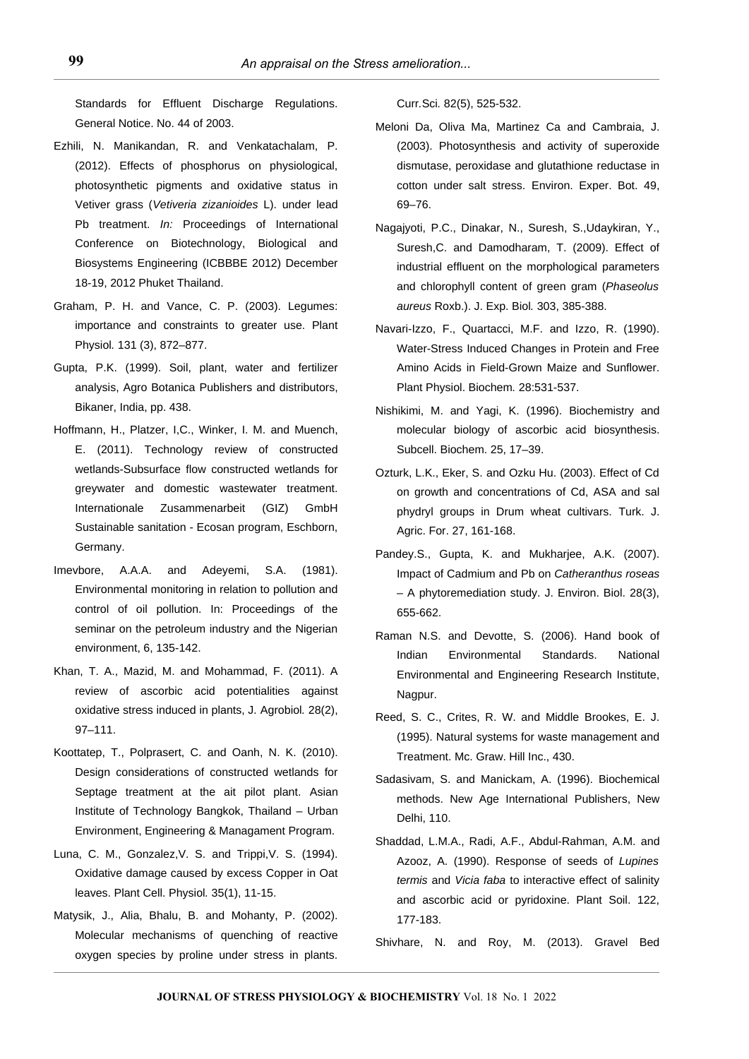Standards for Effluent Discharge Regulations. General Notice. No. 44 of 2003.

- Ezhili, N. Manikandan, R. and Venkatachalam, P. (2012). Effects of phosphorus on physiological, photosynthetic pigments and oxidative status in Vetiver grass (*Vetiveria zizanioides* L). under lead Pb treatment. *In:* Proceedings of International Conference on Biotechnology, Biological and Biosystems Engineering (ICBBBE 2012) December 18-19, 2012 Phuket Thailand.
- Graham, P. H. and Vance, C. P. (2003). Legumes: importance and constraints to greater use. Plant Physiol*.* 131 (3), 872–877.
- Gupta, P.K. (1999). Soil, plant, water and fertilizer analysis, Agro Botanica Publishers and distributors, Bikaner, India, pp. 438.
- Hoffmann, H., Platzer, I,C., Winker, I. M. and Muench, E. (2011). Technology review of constructed wetlands-Subsurface flow constructed wetlands for greywater and domestic wastewater treatment. Internationale Zusammenarbeit (GIZ) GmbH Sustainable sanitation - Ecosan program, Eschborn, Germany.
- Imevbore, A.A.A. and Adeyemi, S.A. (1981). Environmental monitoring in relation to pollution and control of oil pollution. In: Proceedings of the seminar on the petroleum industry and the Nigerian environment, 6, 135-142.
- Khan, T. A., Mazid, M. and Mohammad, F. (2011). A review of ascorbic acid potentialities against oxidative stress induced in plants, J*.* Agrobiol*.* 28(2), 97–111.
- Koottatep, T., Polprasert, C. and Oanh, N. K. (2010). Design considerations of constructed wetlands for Septage treatment at the ait pilot plant. Asian Institute of Technology Bangkok, Thailand – Urban Environment, Engineering & Managament Program.
- Luna, C. M., Gonzalez,V. S. and Trippi,V. S. (1994). Oxidative damage caused by excess Copper in Oat leaves. Plant Cell. Physiol*.* 35(1), 11-15.
- Matysik, J., Alia, Bhalu, B. and Mohanty, P. (2002). Molecular mechanisms of quenching of reactive oxygen species by proline under stress in plants.

Curr*.*Sci*.* 82(5), 525-532.

- Meloni Da, Oliva Ma, Martinez Ca and Cambraia, J. (2003). Photosynthesis and activity of superoxide dismutase, peroxidase and glutathione reductase in cotton under salt stress. Environ. Exper. Bot. 49, 69–76.
- Nagajyoti, P.C., Dinakar, N., Suresh, S.,Udaykiran, Y., Suresh,C. and Damodharam, T. (2009). Effect of industrial effluent on the morphological parameters and chlorophyll content of green gram (*Phaseolus aureus* Roxb.). J. Exp. Biol*.* 303, 385-388.
- Navari-Izzo, F., Quartacci, M.F. and Izzo, R. (1990). Water-Stress Induced Changes in Protein and Free Amino Acids in Field-Grown Maize and Sunflower. Plant Physiol. Biochem*.* 28:531-537.
- Nishikimi, M. and Yagi, K. (1996). Biochemistry and molecular biology of ascorbic acid biosynthesis. Subcell. Biochem. 25, 17–39.
- Ozturk, L.K., Eker, S. and Ozku Hu. (2003). Effect of Cd on growth and concentrations of Cd, ASA and sal phydryl groups in Drum wheat cultivars. Turk. J. Agric. For. 27, 161-168.
- Pandey.S., Gupta, K. and Mukharjee, A.K. (2007). Impact of Cadmium and Pb on *Catheranthus roseas* – A phytoremediation study. J. Environ. Biol. 28(3), 655-662.
- Raman N.S. and Devotte, S. (2006). Hand book of Indian Environmental Standards. National Environmental and Engineering Research Institute, Nagpur.
- Reed, S. C., Crites, R. W. and Middle Brookes, E. J. (1995). Natural systems for waste management and Treatment. Mc. Graw. Hill Inc., 430.
- Sadasivam, S. and Manickam, A. (1996). Biochemical methods. New Age International Publishers, New Delhi, 110.
- Shaddad, L.M.A., Radi, A.F., Abdul-Rahman, A.M. and Azooz, A. (1990). Response of seeds of *Lupines termis* and *Vicia faba* to interactive effect of salinity and ascorbic acid or pyridoxine. Plant Soil. 122, 177-183.
- Shivhare, N. and Roy, M. (2013). Gravel Bed